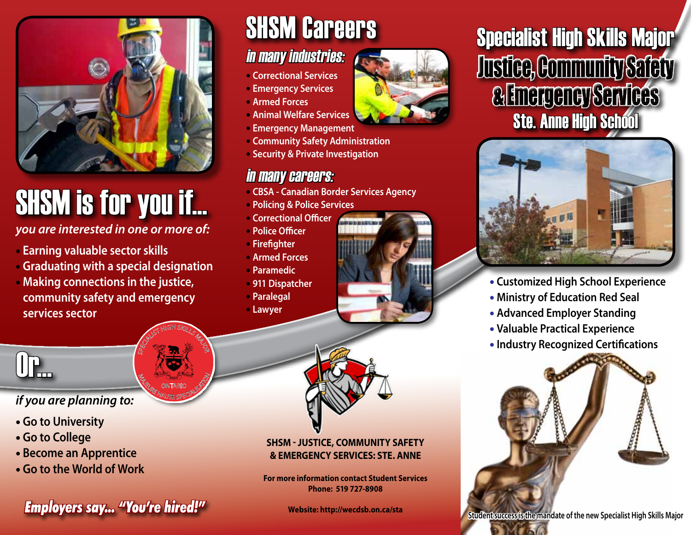

# SHSM is for you if...

*you are interested in one or more of:* 

- • **Earning valuable sector skills**
- • **Graduating with a special designation**

SPECIALIST HIGH SKILLS MAJOR

**M<sub>AGE CONTARIO SP<sup>ORT</sup>ESPECIALIS**</sub> ONTARIO

• **Making connections in the justice, community safety and emergency services sector** 

## SHSM Careers

## in many industries:

- **Correctional Services**
- **Emergency Services**
- **Armed Forces**
- **Animal Welfare Services**
- **Emergency Management**
- **Community Safety Administration**
- **Security & Private Investigation**

## in many careers:

- **CBSA Canadian Border Services Agency**
- **Policing & Police Services**
- **Correctional Officer**
- **Police Officer**
- **Firefighter**
- **Armed Forces**
- **Paramedic**
- **911 Dispatcher**
- **Paralegal**
- **Lawyer**



#### **SHSM - Justice, Community Safety & Emergency Services: Ste. Anne**

**For more information contact Student Services Phone: 519 727-8908**

**Website: http://wecdsb.on.ca/sta**





- **Customized High School Experience**
- **Ministry of Education Red Seal**
- **Advanced Employer Standing**
- **Valuable Practical Experience**
- **Industry Recognized Certifications**





*if you are planning to:*

- **Go to University**
- **Go to College**
- **Become an Apprentice**
- **Go to the World of Work**